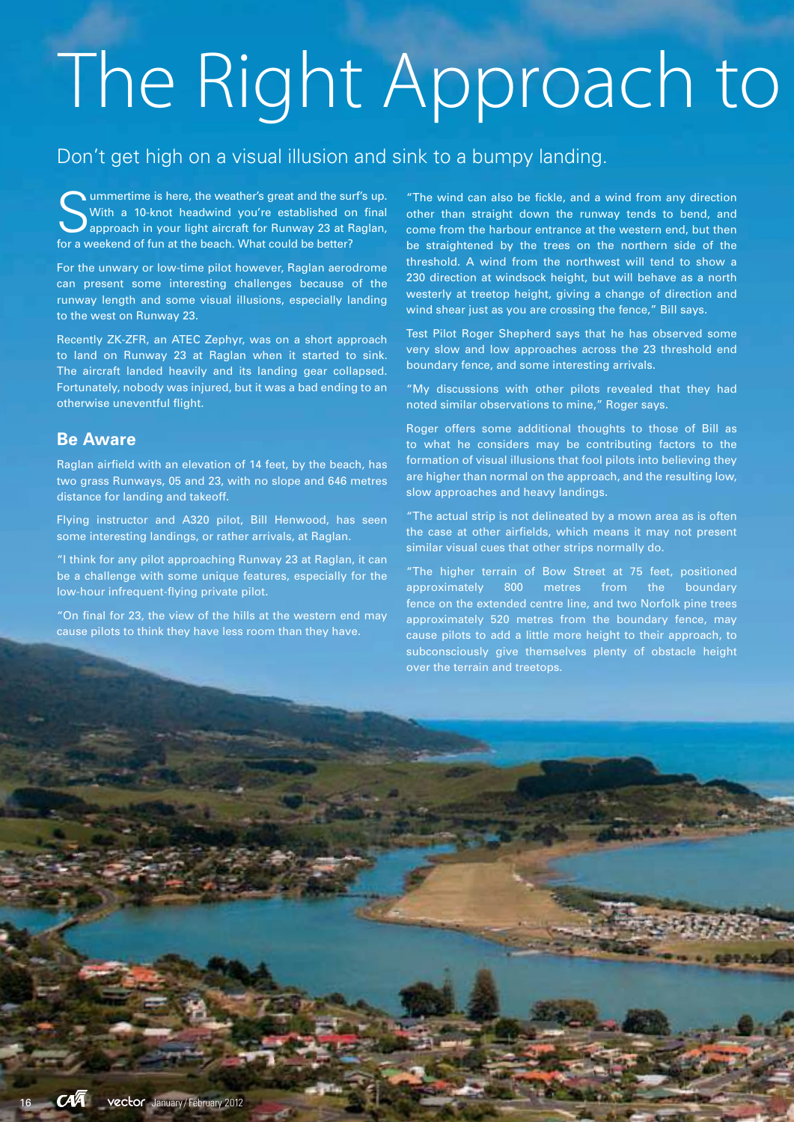## The Right Approach to

### Don't get high on a visual illusion and sink to a bumpy landing.

Solummertime is here, the weather's great and the sum<br>With a 10-knot headwind you're established on<br>approach in your light aircraft for Runway 23 at F<br>for a weekend of fun at the beach. What could be better? ummertime is here, the weather's great and the surf's up. With a 10-knot headwind you're established on final approach in your light aircraft for Runway 23 at Raglan,

For the unwary or low-time pilot however, Raglan aerodrome can present some interesting challenges because of the runway length and some visual illusions, especially landing to the west on Runway 23.

Recently ZK-ZFR, an ATEC Zephyr, was on a short approach to land on Runway 23 at Raglan when it started to sink. The aircraft landed heavily and its landing gear collapsed. Fortunately, nobody was injured, but it was a bad ending to an otherwise uneventful flight.

#### **Be Aware**

Raglan airfield with an elevation of 14 feet, by the beach, has two grass Runways, 05 and 23, with no slope and 646 metres distance for landing and takeoff.

Flying instructor and A320 pilot, Bill Henwood, has seen some interesting landings, or rather arrivals, at Raglan.

"I think for any pilot approaching Runway 23 at Raglan, it can be a challenge with some unique features, especially for the low-hour infrequent-flying private pilot.

"On final for 23, the view of the hills at the western end may cause pilots to think they have less room than they have.

"The wind can also be fickle, and a wind from any direction other than straight down the runway tends to bend, and come from the harbour entrance at the western end, but then be straightened by the trees on the northern side of the threshold. A wind from the northwest will tend to show a 230 direction at windsock height, but will behave as a north westerly at treetop height, giving a change of direction and wind shear just as you are crossing the fence," Bill says.

Test Pilot Roger Shepherd says that he has observed some very slow and low approaches across the 23 threshold end boundary fence, and some interesting arrivals.

"My discussions with other pilots revealed that they had noted similar observations to mine," Roger says.

Roger offers some additional thoughts to those of Bill as to what he considers may be contributing factors to the formation of visual illusions that fool pilots into believing they are higher than normal on the approach, and the resulting low, slow approaches and heavy landings.

"The actual strip is not delineated by a mown area as is often the case at other airfields, which means it may not present similar visual cues that other strips normally do.

"The higher terrain of Bow Street at 75 feet, positioned approximately 800 metres from the boundary fence on the extended centre line, and two Norfolk pine trees approximately 520 metres from the boundary fence, may cause pilots to add a little more height to their approach, to subconsciously give themselves plenty of obstacle height over the terrain and treetops.